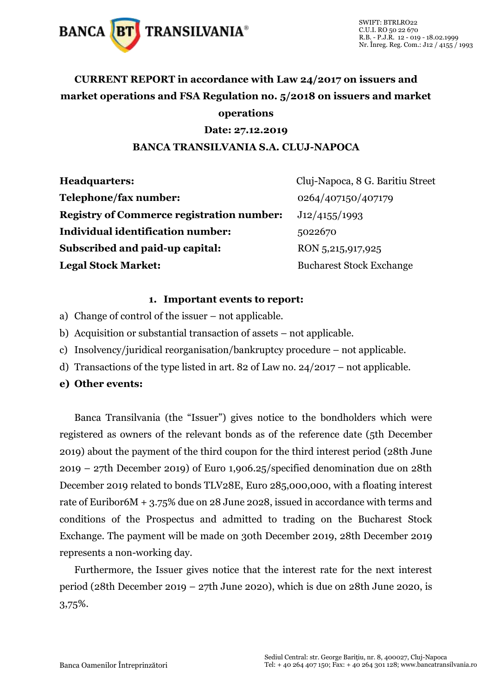

### **CURRENT REPORT in accordance with Law 24/2017 on issuers and market operations and FSA Regulation no. 5/2018 on issuers and market operations**

#### **Date: 27.12.2019**

#### **BANCA TRANSILVANIA S.A. CLUJ-NAPOCA**

| <b>Headquarters:</b>                             | Cluj-Napoca, 8 G. Baritiu Street |
|--------------------------------------------------|----------------------------------|
| Telephone/fax number:                            | 0264/407150/407179               |
| <b>Registry of Commerce registration number:</b> | J12/4155/1993                    |
| <b>Individual identification number:</b>         | 5022670                          |
| Subscribed and paid-up capital:                  | RON 5,215,917,925                |
| <b>Legal Stock Market:</b>                       | <b>Bucharest Stock Exchange</b>  |

#### **1. Important events to report:**

- a) Change of control of the issuer not applicable.
- b) Acquisition or substantial transaction of assets not applicable.
- c) Insolvency/juridical reorganisation/bankruptcy procedure not applicable.
- d) Transactions of the type listed in art. 82 of Law no. 24/2017 not applicable.
- **e) Other events:**

Banca Transilvania (the "Issuer") gives notice to the bondholders which were registered as owners of the relevant bonds as of the reference date (5th December 2019) about the payment of the third coupon for the third interest period (28th June 2019 – 27th December 2019) of Euro 1,906.25/specified denomination due on 28th December 2019 related to bonds TLV28E, Euro 285,000,000, with a floating interest rate of Euribor6M + 3.75% due on 28 June 2028, issued in accordance with terms and conditions of the Prospectus and admitted to trading on the Bucharest Stock Exchange. The payment will be made on 30th December 2019, 28th December 2019 represents a non-working day.

Furthermore, the Issuer gives notice that the interest rate for the next interest period (28th December 2019 – 27th June 2020), which is due on 28th June 2020, is 3,75%.